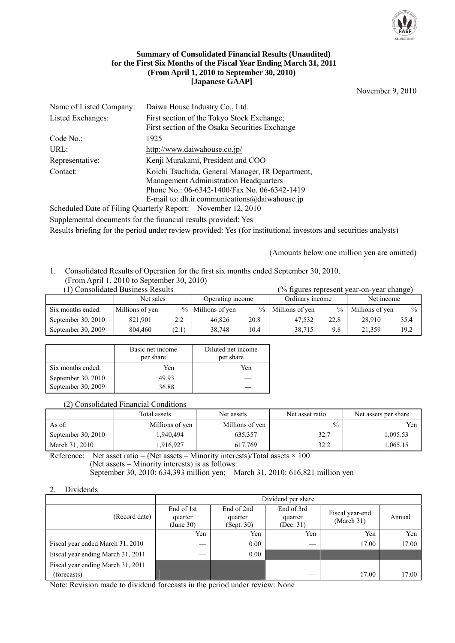

#### **Summary of Consolidated Financial Results (Unaudited) for the First Six Months of the Fiscal Year Ending March 31, 2011 (From April 1, 2010 to September 30, 2010) [Japanese GAAP]**

November 9, 2010

| Name of Listed Company: | Daiwa House Industry Co., Ltd.                   |
|-------------------------|--------------------------------------------------|
| Listed Exchanges:       | First section of the Tokyo Stock Exchange;       |
|                         | First section of the Osaka Securities Exchange   |
| Code No.                | 1925                                             |
| URL:                    | http://www.daiwahouse.co.jp/                     |
| Representative:         | Kenji Murakami, President and COO                |
| Contact:                | Koichi Tsuchida, General Manager, IR Department, |
|                         | Management Administration Headquarters           |
|                         | Phone No.: 06-6342-1400/Fax No. 06-6342-1419     |
|                         | E-mail to: dh.ir.communications@daiwahouse.jp    |
|                         |                                                  |

Scheduled Date of Filing Quarterly Report: November 12, 2010 Supplemental documents for the financial results provided: Yes Results briefing for the period under review provided: Yes (for institutional investors and securities analysts)

(Amounts below one million yen are omitted)

# 1. Consolidated Results of Operation for the first six months ended September 30, 2010.

# (From April 1, 2010 to September 30, 2010)

|                      | (1) Consolidated Business Results |       |                   |      |                   |      | (% figures represent year-on-year change) |      |
|----------------------|-----------------------------------|-------|-------------------|------|-------------------|------|-------------------------------------------|------|
|                      | Net sales                         |       | Operating income  |      | Ordinary income   |      | Net income                                |      |
| Six months ended:    | Millions of yen                   |       | % Millions of yen |      | % Millions of yen | $\%$ | Millions of yen                           | $\%$ |
| September 30, $2010$ | 821.901                           | 2.2   | 46.826            | 20.8 | 47.532            | 22.8 | 28.910                                    | 35.4 |
| September 30, 2009   | 804.460                           | (2.1) | 38.748            | 10.4 | 38.715            | 9.8  | 21.359                                    | 19.2 |

|                    | Basic net income<br>per share | Diluted net income<br>per share |
|--------------------|-------------------------------|---------------------------------|
| Six months ended:  | Yen                           | Yen                             |
| September 30, 2010 | 49.93                         |                                 |
| September 30, 2009 | 36.88                         |                                 |

#### (2) Consolidated Financial Conditions

|                    | Total assets    | Net assets      | Net asset ratio | Net assets per share |
|--------------------|-----------------|-----------------|-----------------|----------------------|
| As of:             | Millions of yen | Millions of yen | $\frac{0}{0}$   | Yen                  |
| September 30, 2010 | 1.940.494       | 635.357         | 32.7            | 1,095.53             |
| March 31, 2010     | 916,927         | 617.769         | 32.2            | 1,065.15             |

Reference: Net asset ratio = (Net assets – Minority interests)/Total assets  $\times$  100 (Net assets – Minority interests) is as follows: September 30, 2010: 634,393 million yen; March 31, 2010: 616,821 million yen

#### 2. Dividends

|                                   | Dividend per share                 |                                     |                                    |                               |        |  |  |  |
|-----------------------------------|------------------------------------|-------------------------------------|------------------------------------|-------------------------------|--------|--|--|--|
| (Record date)                     | End of 1st<br>quarter<br>(June 30) | End of 2nd<br>quarter<br>(Sept. 30) | End of 3rd<br>quarter<br>(Dec. 31) | Fiscal year-end<br>(March 31) | Annual |  |  |  |
|                                   | Yen                                | Yen                                 | Yen                                | Yen                           | Yen    |  |  |  |
| Fiscal year ended March 31, 2010  |                                    | 0.00                                |                                    | 17.00                         | 17.00  |  |  |  |
| Fiscal year ending March 31, 2011 |                                    | 0.00                                |                                    |                               |        |  |  |  |
| Fiscal year ending March 31, 2011 |                                    |                                     |                                    |                               |        |  |  |  |
| (forecasts)                       |                                    |                                     |                                    | 17.00                         | 17.00  |  |  |  |

Note: Revision made to dividend forecasts in the period under review: None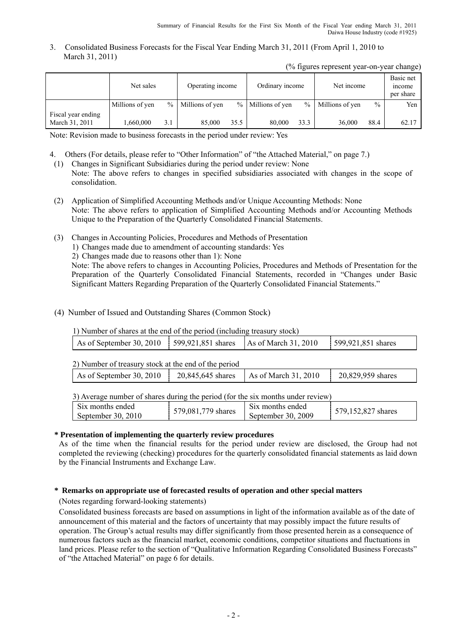3. Consolidated Business Forecasts for the Fiscal Year Ending March 31, 2011 (From April 1, 2010 to March 31, 2011)

|  |  |  |  | (% figures represent year-on-year change) |
|--|--|--|--|-------------------------------------------|
|--|--|--|--|-------------------------------------------|

|                                      | Net sales       |               | Operating income |      | Ordinary income     |        | Net income      |               | Basic net<br>income<br>per share |
|--------------------------------------|-----------------|---------------|------------------|------|---------------------|--------|-----------------|---------------|----------------------------------|
|                                      | Millions of yen | $\frac{0}{0}$ | Millions of yen  |      | $%$ Millions of yen | $\%$ 1 | Millions of yen | $\frac{0}{0}$ | Yen                              |
| Fiscal year ending<br>March 31, 2011 | 1.660.000       | 3.1           | 85,000           | 35.5 | 80,000              | 33.3   | 36,000          | 88.4          | 62.17                            |

Note: Revision made to business forecasts in the period under review: Yes

- 4. Others (For details, please refer to "Other Information" of "the Attached Material," on page 7.)
- (1) Changes in Significant Subsidiaries during the period under review: None Note: The above refers to changes in specified subsidiaries associated with changes in the scope of consolidation.
- (2) Application of Simplified Accounting Methods and/or Unique Accounting Methods: None Note: The above refers to application of Simplified Accounting Methods and/or Accounting Methods Unique to the Preparation of the Quarterly Consolidated Financial Statements.
- (3) Changes in Accounting Policies, Procedures and Methods of Presentation
	- 1) Changes made due to amendment of accounting standards: Yes
	- 2) Changes made due to reasons other than 1): None

 Note: The above refers to changes in Accounting Policies, Procedures and Methods of Presentation for the Preparation of the Quarterly Consolidated Financial Statements, recorded in "Changes under Basic Significant Matters Regarding Preparation of the Quarterly Consolidated Financial Statements."

## (4) Number of Issued and Outstanding Shares (Common Stock)

1) Number of shares at the end of the period (including treasury stock)

| As of September 30, 2010   599,921,851 shares   As of March 31, 2010   599,921,851 shares |  |
|-------------------------------------------------------------------------------------------|--|
|-------------------------------------------------------------------------------------------|--|

2) Number of treasury stock at the end of the period

| As of September 30, 2010 $\mu$ | 20,845,645 shares | As of March 31, 2010 | 20,829,959 shares |
|--------------------------------|-------------------|----------------------|-------------------|
|                                |                   |                      |                   |

3) Average number of shares during the period (for the six months under review)

| S <sub>1</sub> x months ended<br>579,081,779 shares<br>September 30, $2010$ | Six months ended<br>September 30, 2009 | 579,152,827 shares |
|-----------------------------------------------------------------------------|----------------------------------------|--------------------|
|-----------------------------------------------------------------------------|----------------------------------------|--------------------|

#### **\* Presentation of implementing the quarterly review procedures**

 As of the time when the financial results for the period under review are disclosed, the Group had not completed the reviewing (checking) procedures for the quarterly consolidated financial statements as laid down by the Financial Instruments and Exchange Law.

# **\* Remarks on appropriate use of forecasted results of operation and other special matters**

(Notes regarding forward-looking statements)

Consolidated business forecasts are based on assumptions in light of the information available as of the date of announcement of this material and the factors of uncertainty that may possibly impact the future results of operation. The Group's actual results may differ significantly from those presented herein as a consequence of numerous factors such as the financial market, economic conditions, competitor situations and fluctuations in land prices. Please refer to the section of "Qualitative Information Regarding Consolidated Business Forecasts" of "the Attached Material" on page 6 for details.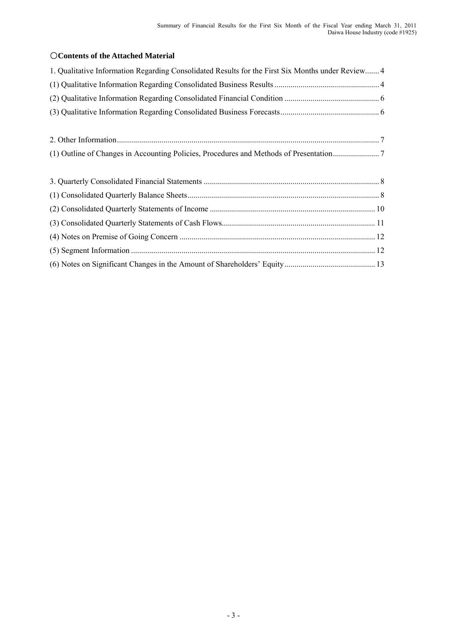# ○**Contents of the Attached Material**

| 1. Qualitative Information Regarding Consolidated Results for the First Six Months under Review 4 |  |
|---------------------------------------------------------------------------------------------------|--|
|                                                                                                   |  |
|                                                                                                   |  |
|                                                                                                   |  |
|                                                                                                   |  |
|                                                                                                   |  |
|                                                                                                   |  |
|                                                                                                   |  |
|                                                                                                   |  |
|                                                                                                   |  |
|                                                                                                   |  |
|                                                                                                   |  |
|                                                                                                   |  |
|                                                                                                   |  |
|                                                                                                   |  |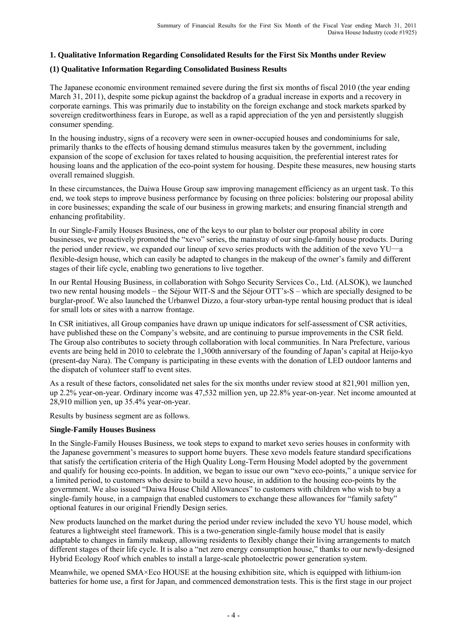# **1. Qualitative Information Regarding Consolidated Results for the First Six Months under Review**

#### **(1) Qualitative Information Regarding Consolidated Business Results**

The Japanese economic environment remained severe during the first six months of fiscal 2010 (the year ending March 31, 2011), despite some pickup against the backdrop of a gradual increase in exports and a recovery in corporate earnings. This was primarily due to instability on the foreign exchange and stock markets sparked by sovereign creditworthiness fears in Europe, as well as a rapid appreciation of the yen and persistently sluggish consumer spending.

In the housing industry, signs of a recovery were seen in owner-occupied houses and condominiums for sale, primarily thanks to the effects of housing demand stimulus measures taken by the government, including expansion of the scope of exclusion for taxes related to housing acquisition, the preferential interest rates for housing loans and the application of the eco-point system for housing. Despite these measures, new housing starts overall remained sluggish.

In these circumstances, the Daiwa House Group saw improving management efficiency as an urgent task. To this end, we took steps to improve business performance by focusing on three policies: bolstering our proposal ability in core businesses; expanding the scale of our business in growing markets; and ensuring financial strength and enhancing profitability.

In our Single-Family Houses Business, one of the keys to our plan to bolster our proposal ability in core businesses, we proactively promoted the "xevo" series, the mainstay of our single-family house products. During the period under review, we expanded our lineup of xevo series products with the addition of the xevo YU―a flexible-design house, which can easily be adapted to changes in the makeup of the owner's family and different stages of their life cycle, enabling two generations to live together.

In our Rental Housing Business, in collaboration with Sohgo Security Services Co., Ltd. (ALSOK), we launched two new rental housing models – the Séjour WIT-S and the Séjour OTT's-S – which are specially designed to be burglar-proof. We also launched the Urbanwel Dizzo, a four-story urban-type rental housing product that is ideal for small lots or sites with a narrow frontage.

In CSR initiatives, all Group companies have drawn up unique indicators for self-assessment of CSR activities, have published these on the Company's website, and are continuing to pursue improvements in the CSR field. The Group also contributes to society through collaboration with local communities. In Nara Prefecture, various events are being held in 2010 to celebrate the 1,300th anniversary of the founding of Japan's capital at Heijo-kyo (present-day Nara). The Company is participating in these events with the donation of LED outdoor lanterns and the dispatch of volunteer staff to event sites.

As a result of these factors, consolidated net sales for the six months under review stood at 821,901 million yen, up 2.2% year-on-year. Ordinary income was 47,532 million yen, up 22.8% year-on-year. Net income amounted at 28,910 million yen, up 35.4% year-on-year.

Results by business segment are as follows.

#### **Single-Family Houses Business**

In the Single-Family Houses Business, we took steps to expand to market xevo series houses in conformity with the Japanese government's measures to support home buyers. These xevo models feature standard specifications that satisfy the certification criteria of the High Quality Long-Term Housing Model adopted by the government and qualify for housing eco-points. In addition, we began to issue our own "xevo eco-points," a unique service for a limited period, to customers who desire to build a xevo house, in addition to the housing eco-points by the government. We also issued "Daiwa House Child Allowances" to customers with children who wish to buy a single-family house, in a campaign that enabled customers to exchange these allowances for "family safety" optional features in our original Friendly Design series.

New products launched on the market during the period under review included the xevo YU house model, which features a lightweight steel framework. This is a two-generation single-family house model that is easily adaptable to changes in family makeup, allowing residents to flexibly change their living arrangements to match different stages of their life cycle. It is also a "net zero energy consumption house," thanks to our newly-designed Hybrid Ecology Roof which enables to install a large-scale photoelectric power generation system.

Meanwhile, we opened SMA×Eco HOUSE at the housing exhibition site, which is equipped with lithium-ion batteries for home use, a first for Japan, and commenced demonstration tests. This is the first stage in our project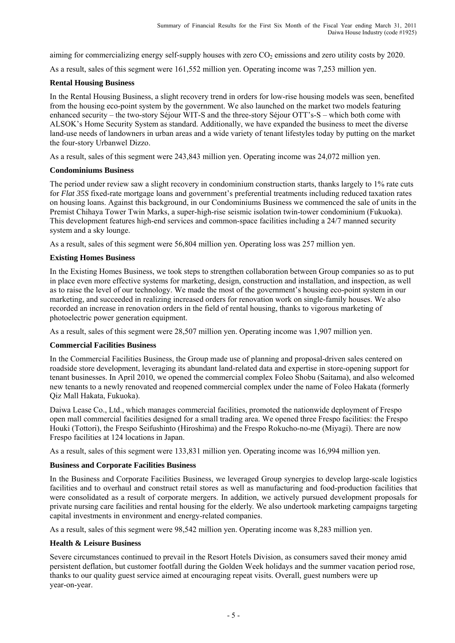aiming for commercializing energy self-supply houses with zero  $CO<sub>2</sub>$  emissions and zero utility costs by 2020.

As a result, sales of this segment were 161,552 million yen. Operating income was 7,253 million yen.

#### **Rental Housing Business**

In the Rental Housing Business, a slight recovery trend in orders for low-rise housing models was seen, benefited from the housing eco-point system by the government. We also launched on the market two models featuring enhanced security – the two-story Séjour WIT-S and the three-story Séjour OTT's-S – which both come with ALSOK's Home Security System as standard. Additionally, we have expanded the business to meet the diverse land-use needs of landowners in urban areas and a wide variety of tenant lifestyles today by putting on the market the four-story Urbanwel Dizzo.

As a result, sales of this segment were 243,843 million yen. Operating income was 24,072 million yen.

#### **Condominiums Business**

The period under review saw a slight recovery in condominium construction starts, thanks largely to 1% rate cuts for *Flat 35S* fixed-rate mortgage loans and government's preferential treatments including reduced taxation rates on housing loans. Against this background, in our Condominiums Business we commenced the sale of units in the Premist Chihaya Tower Twin Marks, a super-high-rise seismic isolation twin-tower condominium (Fukuoka). This development features high-end services and common-space facilities including a 24/7 manned security system and a sky lounge.

As a result, sales of this segment were 56,804 million yen. Operating loss was 257 million yen.

#### **Existing Homes Business**

In the Existing Homes Business, we took steps to strengthen collaboration between Group companies so as to put in place even more effective systems for marketing, design, construction and installation, and inspection, as well as to raise the level of our technology. We made the most of the government's housing eco-point system in our marketing, and succeeded in realizing increased orders for renovation work on single-family houses. We also recorded an increase in renovation orders in the field of rental housing, thanks to vigorous marketing of photoelectric power generation equipment.

As a result, sales of this segment were 28,507 million yen. Operating income was 1,907 million yen.

#### **Commercial Facilities Business**

In the Commercial Facilities Business, the Group made use of planning and proposal-driven sales centered on roadside store development, leveraging its abundant land-related data and expertise in store-opening support for tenant businesses. In April 2010, we opened the commercial complex Foleo Shobu (Saitama), and also welcomed new tenants to a newly renovated and reopened commercial complex under the name of Foleo Hakata (formerly Qiz Mall Hakata, Fukuoka).

Daiwa Lease Co., Ltd., which manages commercial facilities, promoted the nationwide deployment of Frespo open mall commercial facilities designed for a small trading area. We opened three Frespo facilities: the Frespo Houki (Tottori), the Frespo Seifushinto (Hiroshima) and the Frespo Rokucho-no-me (Miyagi). There are now Frespo facilities at 124 locations in Japan.

As a result, sales of this segment were 133,831 million yen. Operating income was 16,994 million yen.

#### **Business and Corporate Facilities Business**

In the Business and Corporate Facilities Business, we leveraged Group synergies to develop large-scale logistics facilities and to overhaul and construct retail stores as well as manufacturing and food-production facilities that were consolidated as a result of corporate mergers. In addition, we actively pursued development proposals for private nursing care facilities and rental housing for the elderly. We also undertook marketing campaigns targeting capital investments in environment and energy-related companies.

As a result, sales of this segment were 98,542 million yen. Operating income was 8,283 million yen.

#### **Health & Leisure Business**

Severe circumstances continued to prevail in the Resort Hotels Division, as consumers saved their money amid persistent deflation, but customer footfall during the Golden Week holidays and the summer vacation period rose, thanks to our quality guest service aimed at encouraging repeat visits. Overall, guest numbers were up year-on-year.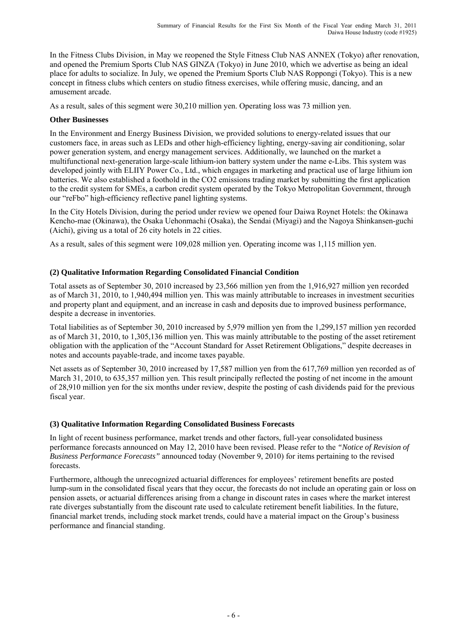In the Fitness Clubs Division, in May we reopened the Style Fitness Club NAS ANNEX (Tokyo) after renovation, and opened the Premium Sports Club NAS GINZA (Tokyo) in June 2010, which we advertise as being an ideal place for adults to socialize. In July, we opened the Premium Sports Club NAS Roppongi (Tokyo). This is a new concept in fitness clubs which centers on studio fitness exercises, while offering music, dancing, and an amusement arcade.

As a result, sales of this segment were 30,210 million yen. Operating loss was 73 million yen.

# **Other Businesses**

In the Environment and Energy Business Division, we provided solutions to energy-related issues that our customers face, in areas such as LEDs and other high-efficiency lighting, energy-saving air conditioning, solar power generation system, and energy management services. Additionally, we launched on the market a multifunctional next-generation large-scale lithium-ion battery system under the name e-Libs. This system was developed jointly with ELIIY Power Co., Ltd., which engages in marketing and practical use of large lithium ion batteries. We also established a foothold in the CO2 emissions trading market by submitting the first application to the credit system for SMEs, a carbon credit system operated by the Tokyo Metropolitan Government, through our "reFbo" high-efficiency reflective panel lighting systems.

In the City Hotels Division, during the period under review we opened four Daiwa Roynet Hotels: the Okinawa Kencho-mae (Okinawa), the Osaka Uehonmachi (Osaka), the Sendai (Miyagi) and the Nagoya Shinkansen-guchi (Aichi), giving us a total of 26 city hotels in 22 cities.

As a result, sales of this segment were 109,028 million yen. Operating income was 1,115 million yen.

# **(2) Qualitative Information Regarding Consolidated Financial Condition**

Total assets as of September 30, 2010 increased by 23,566 million yen from the 1,916,927 million yen recorded as of March 31, 2010, to 1,940,494 million yen. This was mainly attributable to increases in investment securities and property plant and equipment, and an increase in cash and deposits due to improved business performance, despite a decrease in inventories.

Total liabilities as of September 30, 2010 increased by 5,979 million yen from the 1,299,157 million yen recorded as of March 31, 2010, to 1,305,136 million yen. This was mainly attributable to the posting of the asset retirement obligation with the application of the "Account Standard for Asset Retirement Obligations," despite decreases in notes and accounts payable-trade, and income taxes payable.

Net assets as of September 30, 2010 increased by 17,587 million yen from the 617,769 million yen recorded as of March 31, 2010, to 635,357 million yen. This result principally reflected the posting of net income in the amount of 28,910 million yen for the six months under review, despite the posting of cash dividends paid for the previous fiscal year.

# **(3) Qualitative Information Regarding Consolidated Business Forecasts**

In light of recent business performance, market trends and other factors, full-year consolidated business performance forecasts announced on May 12, 2010 have been revised. Please refer to the *"Notice of Revision of Business Performance Forecasts"* announced today (November 9, 2010) for items pertaining to the revised forecasts.

Furthermore, although the unrecognized actuarial differences for employees' retirement benefits are posted lump-sum in the consolidated fiscal years that they occur, the forecasts do not include an operating gain or loss on pension assets, or actuarial differences arising from a change in discount rates in cases where the market interest rate diverges substantially from the discount rate used to calculate retirement benefit liabilities. In the future, financial market trends, including stock market trends, could have a material impact on the Group's business performance and financial standing.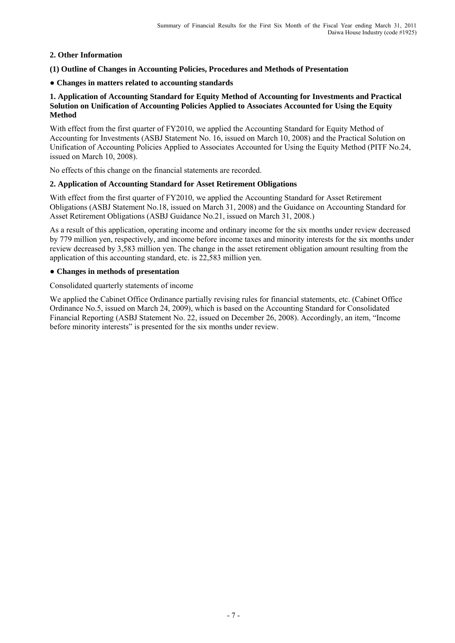# **2. Other Information**

**(1) Outline of Changes in Accounting Policies, Procedures and Methods of Presentation** 

## ● **Changes in matters related to accounting standards**

## **1. Application of Accounting Standard for Equity Method of Accounting for Investments and Practical Solution on Unification of Accounting Policies Applied to Associates Accounted for Using the Equity Method**

With effect from the first quarter of FY2010, we applied the Accounting Standard for Equity Method of Accounting for Investments (ASBJ Statement No. 16, issued on March 10, 2008) and the Practical Solution on Unification of Accounting Policies Applied to Associates Accounted for Using the Equity Method (PITF No.24, issued on March 10, 2008).

No effects of this change on the financial statements are recorded.

# **2. Application of Accounting Standard for Asset Retirement Obligations**

With effect from the first quarter of FY2010, we applied the Accounting Standard for Asset Retirement Obligations (ASBJ Statement No.18, issued on March 31, 2008) and the Guidance on Accounting Standard for Asset Retirement Obligations (ASBJ Guidance No.21, issued on March 31, 2008.)

As a result of this application, operating income and ordinary income for the six months under review decreased by 779 million yen, respectively, and income before income taxes and minority interests for the six months under review decreased by 3,583 million yen. The change in the asset retirement obligation amount resulting from the application of this accounting standard, etc. is 22,583 million yen.

# ● **Changes in methods of presentation**

Consolidated quarterly statements of income

We applied the Cabinet Office Ordinance partially revising rules for financial statements, etc. (Cabinet Office Ordinance No.5, issued on March 24, 2009), which is based on the Accounting Standard for Consolidated Financial Reporting (ASBJ Statement No. 22, issued on December 26, 2008). Accordingly, an item, "Income before minority interests" is presented for the six months under review.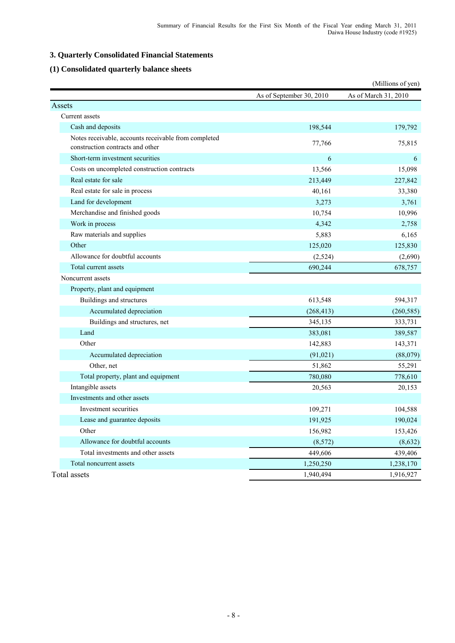# **3. Quarterly Consolidated Financial Statements**

# **(1) Consolidated quarterly balance sheets**

|                                                                                          |                          | (Millions of yen)    |
|------------------------------------------------------------------------------------------|--------------------------|----------------------|
|                                                                                          | As of September 30, 2010 | As of March 31, 2010 |
| Assets                                                                                   |                          |                      |
| Current assets                                                                           |                          |                      |
| Cash and deposits                                                                        | 198,544                  | 179,792              |
| Notes receivable, accounts receivable from completed<br>construction contracts and other | 77,766                   | 75,815               |
| Short-term investment securities                                                         | 6                        | 6                    |
| Costs on uncompleted construction contracts                                              | 13,566                   | 15,098               |
| Real estate for sale                                                                     | 213,449                  | 227,842              |
| Real estate for sale in process                                                          | 40,161                   | 33,380               |
| Land for development                                                                     | 3,273                    | 3,761                |
| Merchandise and finished goods                                                           | 10,754                   | 10,996               |
| Work in process                                                                          | 4,342                    | 2,758                |
| Raw materials and supplies                                                               | 5,883                    | 6,165                |
| Other                                                                                    | 125,020                  | 125,830              |
| Allowance for doubtful accounts                                                          | (2,524)                  | (2,690)              |
| Total current assets                                                                     | 690,244                  | 678,757              |
| Noncurrent assets                                                                        |                          |                      |
| Property, plant and equipment                                                            |                          |                      |
| Buildings and structures                                                                 | 613,548                  | 594,317              |
| Accumulated depreciation                                                                 | (268, 413)               | (260, 585)           |
| Buildings and structures, net                                                            | 345,135                  | 333,731              |
| Land                                                                                     | 383,081                  | 389,587              |
| Other                                                                                    | 142,883                  | 143,371              |
| Accumulated depreciation                                                                 | (91, 021)                | (88,079)             |
| Other, net                                                                               | 51,862                   | 55,291               |
| Total property, plant and equipment                                                      | 780,080                  | 778,610              |
| Intangible assets                                                                        | 20,563                   | 20,153               |
| Investments and other assets                                                             |                          |                      |
| Investment securities                                                                    | 109,271                  | 104,588              |
| Lease and guarantee deposits                                                             | 191,925                  | 190,024              |
| Other                                                                                    | 156,982                  | 153,426              |
| Allowance for doubtful accounts                                                          | (8, 572)                 | (8,632)              |
| Total investments and other assets                                                       | 449,606                  | 439,406              |
| Total noncurrent assets                                                                  | 1,250,250                | 1,238,170            |
| Total assets                                                                             | 1,940,494                | 1,916,927            |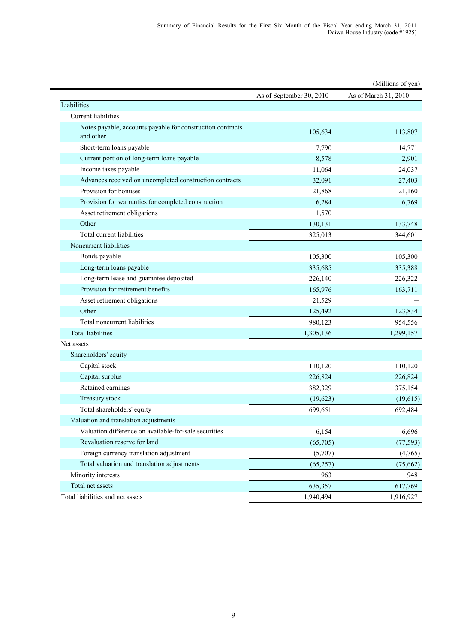|                                                                         |                          | (Millions of yen)    |
|-------------------------------------------------------------------------|--------------------------|----------------------|
|                                                                         | As of September 30, 2010 | As of March 31, 2010 |
| Liabilities                                                             |                          |                      |
| <b>Current liabilities</b>                                              |                          |                      |
| Notes payable, accounts payable for construction contracts<br>and other | 105,634                  | 113,807              |
| Short-term loans payable                                                | 7,790                    | 14,771               |
| Current portion of long-term loans payable                              | 8,578                    | 2,901                |
| Income taxes payable                                                    | 11,064                   | 24,037               |
| Advances received on uncompleted construction contracts                 | 32,091                   | 27,403               |
| Provision for bonuses                                                   | 21,868                   | 21,160               |
| Provision for warranties for completed construction                     | 6,284                    | 6,769                |
| Asset retirement obligations                                            | 1,570                    |                      |
| Other                                                                   | 130,131                  | 133,748              |
| Total current liabilities                                               | 325,013                  | 344,601              |
| Noncurrent liabilities                                                  |                          |                      |
| Bonds payable                                                           | 105,300                  | 105,300              |
| Long-term loans payable                                                 | 335,685                  | 335,388              |
| Long-term lease and guarantee deposited                                 | 226,140                  | 226,322              |
| Provision for retirement benefits                                       | 165,976                  | 163,711              |
| Asset retirement obligations                                            | 21,529                   |                      |
| Other                                                                   | 125,492                  | 123,834              |
| Total noncurrent liabilities                                            | 980,123                  | 954,556              |
| <b>Total liabilities</b>                                                | 1,305,136                | 1,299,157            |
| Net assets                                                              |                          |                      |
| Shareholders' equity                                                    |                          |                      |
| Capital stock                                                           | 110,120                  | 110,120              |
| Capital surplus                                                         | 226,824                  | 226,824              |
| Retained earnings                                                       | 382,329                  | 375,154              |
| Treasury stock                                                          | (19,623)                 | (19,615)             |
| Total shareholders' equity                                              | 699,651                  | 692,484              |
| Valuation and translation adjustments                                   |                          |                      |
| Valuation difference on available-for-sale securities                   | 6,154                    | 6,696                |
| Revaluation reserve for land                                            | (65,705)                 | (77, 593)            |
| Foreign currency translation adjustment                                 | (5,707)                  | (4,765)              |
| Total valuation and translation adjustments                             | (65, 257)                | (75,662)             |
| Minority interests                                                      | 963                      | 948                  |
| Total net assets                                                        | 635,357                  | 617,769              |
| Total liabilities and net assets                                        | 1,940,494                | 1,916,927            |

i

- 9 -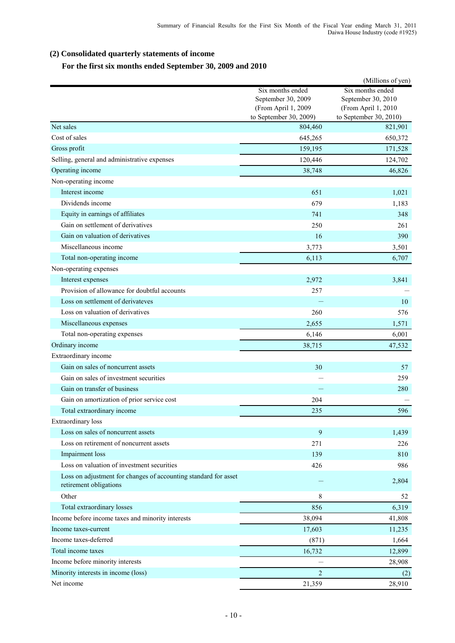# **(2) Consolidated quarterly statements of income**

# **For the first six months ended September 30, 2009 and 2010**

|                                                                                           |                                                                                         | (Millions of yen)                                                                       |
|-------------------------------------------------------------------------------------------|-----------------------------------------------------------------------------------------|-----------------------------------------------------------------------------------------|
|                                                                                           | Six months ended<br>September 30, 2009<br>(From April 1, 2009<br>to September 30, 2009) | Six months ended<br>September 30, 2010<br>(From April 1, 2010<br>to September 30, 2010) |
| Net sales                                                                                 | 804,460                                                                                 | 821,901                                                                                 |
| Cost of sales                                                                             | 645,265                                                                                 | 650,372                                                                                 |
| Gross profit                                                                              | 159,195                                                                                 | 171,528                                                                                 |
| Selling, general and administrative expenses                                              | 120,446                                                                                 | 124,702                                                                                 |
| Operating income                                                                          | 38,748                                                                                  | 46,826                                                                                  |
| Non-operating income                                                                      |                                                                                         |                                                                                         |
| Interest income                                                                           | 651                                                                                     | 1,021                                                                                   |
| Dividends income                                                                          | 679                                                                                     | 1,183                                                                                   |
| Equity in earnings of affiliates                                                          | 741                                                                                     | 348                                                                                     |
| Gain on settlement of derivatives                                                         | 250                                                                                     | 261                                                                                     |
| Gain on valuation of derivatives                                                          | 16                                                                                      | 390                                                                                     |
| Miscellaneous income                                                                      | 3,773                                                                                   | 3,501                                                                                   |
| Total non-operating income                                                                | 6,113                                                                                   | 6,707                                                                                   |
| Non-operating expenses                                                                    |                                                                                         |                                                                                         |
| Interest expenses                                                                         | 2,972                                                                                   | 3,841                                                                                   |
| Provision of allowance for doubtful accounts                                              | 257                                                                                     |                                                                                         |
| Loss on settlement of derivateves                                                         |                                                                                         | 10                                                                                      |
| Loss on valuation of derivatives                                                          | 260                                                                                     | 576                                                                                     |
| Miscellaneous expenses                                                                    | 2,655                                                                                   | 1,571                                                                                   |
| Total non-operating expenses                                                              | 6,146                                                                                   | 6,001                                                                                   |
| Ordinary income                                                                           | 38,715                                                                                  | 47,532                                                                                  |
| Extraordinary income                                                                      |                                                                                         |                                                                                         |
| Gain on sales of noncurrent assets                                                        | 30                                                                                      | 57                                                                                      |
| Gain on sales of investment securities                                                    |                                                                                         | 259                                                                                     |
| Gain on transfer of business                                                              |                                                                                         | 280                                                                                     |
| Gain on amortization of prior service cost                                                | 204                                                                                     |                                                                                         |
| Total extraordinary income                                                                | 235                                                                                     | 596                                                                                     |
| Extraordinary loss                                                                        |                                                                                         |                                                                                         |
| Loss on sales of noncurrent assets                                                        | 9                                                                                       | 1,439                                                                                   |
| Loss on retirement of noncurrent assets                                                   | 271                                                                                     | 226                                                                                     |
| Impairment loss                                                                           | 139                                                                                     | 810                                                                                     |
| Loss on valuation of investment securities                                                | 426                                                                                     | 986                                                                                     |
| Loss on adjustment for changes of accounting standard for asset<br>retirement obligations |                                                                                         | 2,804                                                                                   |
| Other                                                                                     | 8                                                                                       | 52                                                                                      |
| Total extraordinary losses                                                                | 856                                                                                     | 6,319                                                                                   |
| Income before income taxes and minority interests                                         | 38,094                                                                                  | 41,808                                                                                  |
| Income taxes-current                                                                      | 17,603                                                                                  | 11,235                                                                                  |
| Income taxes-deferred                                                                     | (871)                                                                                   | 1,664                                                                                   |
| Total income taxes                                                                        | 16,732                                                                                  | 12,899                                                                                  |
| Income before minority interests                                                          |                                                                                         | 28,908                                                                                  |
| Minority interests in income (loss)                                                       | $\overline{2}$                                                                          | (2)                                                                                     |
| Net income                                                                                | 21,359                                                                                  | 28,910                                                                                  |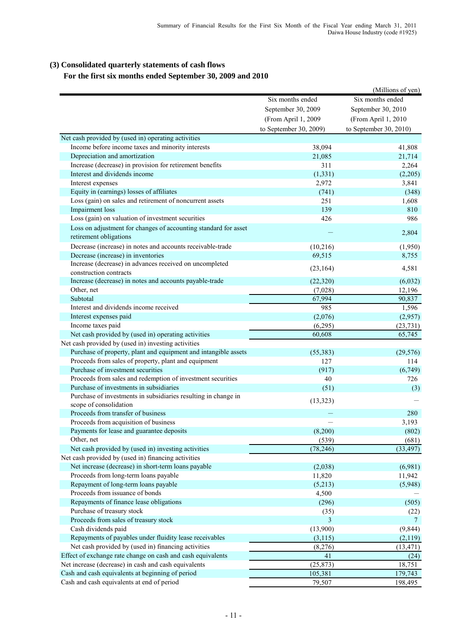# **(3) Consolidated quarterly statements of cash flows**

# **For the first six months ended September 30, 2009 and 2010**

|                                                                                           |                        | (Millions of yen)      |  |
|-------------------------------------------------------------------------------------------|------------------------|------------------------|--|
|                                                                                           | Six months ended       | Six months ended       |  |
|                                                                                           | September 30, 2009     | September 30, 2010     |  |
|                                                                                           | (From April 1, 2009    | (From April 1, 2010    |  |
|                                                                                           | to September 30, 2009) | to September 30, 2010) |  |
|                                                                                           |                        |                        |  |
| Net cash provided by (used in) operating activities                                       |                        |                        |  |
| Income before income taxes and minority interests                                         | 38,094                 | 41,808                 |  |
| Depreciation and amortization                                                             | 21,085                 | 21,714                 |  |
| Increase (decrease) in provision for retirement benefits                                  | 311                    | 2,264                  |  |
| Interest and dividends income                                                             | (1, 331)               | (2,205)                |  |
| Interest expenses                                                                         | 2,972                  | 3,841                  |  |
| Equity in (earnings) losses of affiliates                                                 | (741)                  | (348)                  |  |
| Loss (gain) on sales and retirement of noncurrent assets                                  | 251                    | 1,608                  |  |
| Impairment loss                                                                           | 139                    | 810                    |  |
| Loss (gain) on valuation of investment securities                                         | 426                    | 986                    |  |
| Loss on adjustment for changes of accounting standard for asset<br>retirement obligations |                        | 2,804                  |  |
| Decrease (increase) in notes and accounts receivable-trade                                | (10, 216)              | (1,950)                |  |
| Decrease (increase) in inventories                                                        | 69,515                 | 8,755                  |  |
| Increase (decrease) in advances received on uncompleted                                   |                        |                        |  |
| construction contracts                                                                    | (23, 164)              | 4,581                  |  |
| Increase (decrease) in notes and accounts payable-trade                                   | (22, 320)              | (6,032)                |  |
| Other, net                                                                                | (7,028)                | 12,196                 |  |
| Subtotal                                                                                  | 67,994                 | 90,837                 |  |
| Interest and dividends income received                                                    | 985                    | 1,596                  |  |
| Interest expenses paid                                                                    | (2,076)                | (2,957)                |  |
| Income taxes paid                                                                         | (6,295)                | (23, 731)              |  |
| Net cash provided by (used in) operating activities                                       | 60,608                 | 65,745                 |  |
| Net cash provided by (used in) investing activities                                       |                        |                        |  |
| Purchase of property, plant and equipment and intangible assets                           | (55, 383)              | (29, 576)              |  |
| Proceeds from sales of property, plant and equipment                                      | 127                    | 114                    |  |
| Purchase of investment securities                                                         | (917)                  | (6,749)                |  |
| Proceeds from sales and redemption of investment securities                               | 40                     | 726                    |  |
| Purchase of investments in subsidiaries                                                   | (51)                   | (3)                    |  |
| Purchase of investments in subsidiaries resulting in change in                            | (13, 323)              |                        |  |
| scope of consolidation                                                                    |                        |                        |  |
| Proceeds from transfer of business                                                        |                        | 280                    |  |
| Proceeds from acquisition of business                                                     |                        | 3,193                  |  |
| Payments for lease and guarantee deposits                                                 | (8,200)                | (802)                  |  |
| Other, net                                                                                | (539)                  | (681)                  |  |
| Net cash provided by (used in) investing activities                                       | (78, 246)              | (33, 497)              |  |
| Net cash provided by (used in) financing activities                                       |                        |                        |  |
| Net increase (decrease) in short-term loans payable                                       | (2,038)                | (6,981)                |  |
| Proceeds from long-term loans payable                                                     | 11,820                 | 11,942                 |  |
| Repayment of long-term loans payable                                                      | (5,213)                | (5,948)                |  |
| Proceeds from issuance of bonds                                                           | 4,500                  |                        |  |
| Repayments of finance lease obligations                                                   | (296)                  | (505)                  |  |
| Purchase of treasury stock                                                                | (35)                   | (22)                   |  |
| Proceeds from sales of treasury stock                                                     | 3                      | 7                      |  |
| Cash dividends paid                                                                       | (13,900)               | (9, 844)               |  |
| Repayments of payables under fluidity lease receivables                                   | (3, 115)               | (2,119)                |  |
| Net cash provided by (used in) financing activities                                       | (8,276)                | (13, 471)              |  |
| Effect of exchange rate change on cash and cash equivalents                               | 41                     | (24)                   |  |
| Net increase (decrease) in cash and cash equivalents                                      | (25, 873)              | 18,751                 |  |
| Cash and cash equivalents at beginning of period                                          | 105,381                | 179,743                |  |
| Cash and cash equivalents at end of period                                                | 79,507                 | 198,495                |  |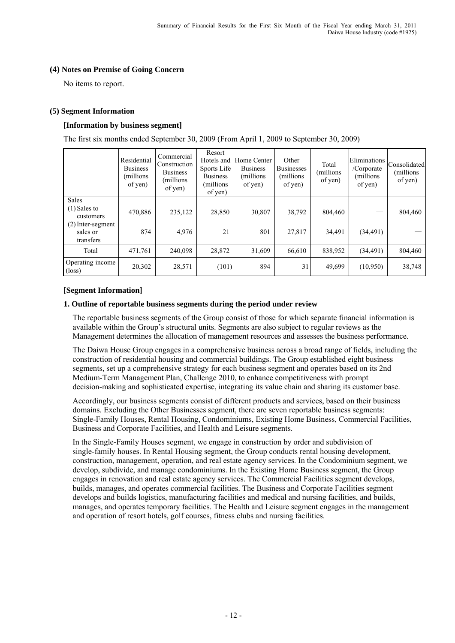## **(4) Notes on Premise of Going Concern**

No items to report.

## **(5) Segment Information**

# **[Information by business segment]**

The first six months ended September 30, 2009 (From April 1, 2009 to September 30, 2009)

|                                              | Residential<br><b>Business</b><br>millions)<br>of yen) | Commercial<br>Construction<br><b>Business</b><br>(millions)<br>of yen) | Resort<br>Hotels and<br>Sports Life<br><b>Business</b><br>(millions)<br>of yen) | Home Center<br><b>Business</b><br>(millions)<br>of yen) | Other<br><b>Businesses</b><br>(millions)<br>of yen) | Total<br>(millions)<br>of yen) | Eliminations<br>/Corporate<br>(millions)<br>of yen) | Consolidated<br>(millions)<br>of yen) |
|----------------------------------------------|--------------------------------------------------------|------------------------------------------------------------------------|---------------------------------------------------------------------------------|---------------------------------------------------------|-----------------------------------------------------|--------------------------------|-----------------------------------------------------|---------------------------------------|
| <b>Sales</b><br>$(1)$ Sales to<br>customers  | 470,886                                                | 235,122                                                                | 28,850                                                                          | 30,807                                                  | 38,792                                              | 804,460                        |                                                     | 804,460                               |
| $(2)$ Inter-segment<br>sales or<br>transfers | 874                                                    | 4,976                                                                  | 21                                                                              | 801                                                     | 27,817                                              | 34,491                         | (34, 491)                                           |                                       |
| Total                                        | 471,761                                                | 240.098                                                                | 28,872                                                                          | 31,609                                                  | 66,610                                              | 838,952                        | (34, 491)                                           | 804,460                               |
| Operating income<br>$(\text{loss})$          | 20,302                                                 | 28,571                                                                 | (101)                                                                           | 894                                                     | 31                                                  | 49,699                         | (10,950)                                            | 38,748                                |

#### **[Segment Information]**

#### **1. Outline of reportable business segments during the period under review**

 The reportable business segments of the Group consist of those for which separate financial information is available within the Group's structural units. Segments are also subject to regular reviews as the Management determines the allocation of management resources and assesses the business performance.

 The Daiwa House Group engages in a comprehensive business across a broad range of fields, including the construction of residential housing and commercial buildings. The Group established eight business segments, set up a comprehensive strategy for each business segment and operates based on its 2nd Medium-Term Management Plan, Challenge 2010, to enhance competitiveness with prompt decision-making and sophisticated expertise, integrating its value chain and sharing its customer base.

 Accordingly, our business segments consist of different products and services, based on their business domains. Excluding the Other Businesses segment, there are seven reportable business segments: Single-Family Houses, Rental Housing, Condominiums, Existing Home Business, Commercial Facilities, Business and Corporate Facilities, and Health and Leisure segments.

 In the Single-Family Houses segment, we engage in construction by order and subdivision of single-family houses. In Rental Housing segment, the Group conducts rental housing development, construction, management, operation, and real estate agency services. In the Condominium segment, we develop, subdivide, and manage condominiums. In the Existing Home Business segment, the Group engages in renovation and real estate agency services. The Commercial Facilities segment develops, builds, manages, and operates commercial facilities. The Business and Corporate Facilities segment develops and builds logistics, manufacturing facilities and medical and nursing facilities, and builds, manages, and operates temporary facilities. The Health and Leisure segment engages in the management and operation of resort hotels, golf courses, fitness clubs and nursing facilities.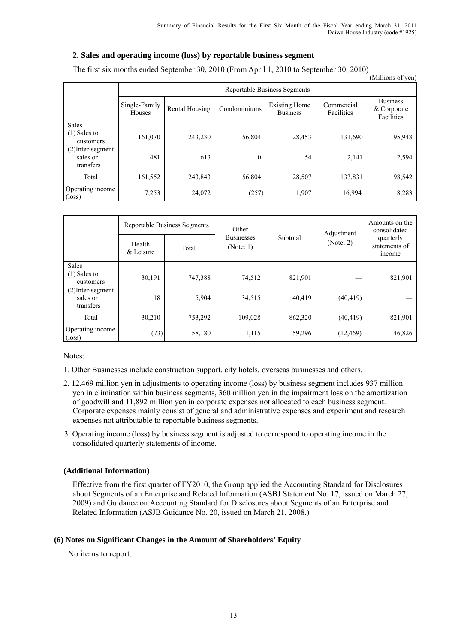481 613 0 54 2,141 2,594

# **2. Sales and operating income (loss) by reportable business segment**

|                                             |                                     |                |              |                                         |                          | (Millions of yen)                            |  |
|---------------------------------------------|-------------------------------------|----------------|--------------|-----------------------------------------|--------------------------|----------------------------------------------|--|
|                                             | <b>Reportable Business Segments</b> |                |              |                                         |                          |                                              |  |
|                                             | Single-Family<br>Houses             | Rental Housing | Condominiums | <b>Existing Home</b><br><b>Business</b> | Commercial<br>Facilities | <b>Business</b><br>& Corporate<br>Facilities |  |
| <b>Sales</b><br>$(1)$ Sales to<br>customers | 161,070                             | 243,230        | 56,804       | 28,453                                  | 131,690                  | 95,948                                       |  |

Total 161,552 243,843 56,804 28,507 133,831 98,542

(loss) 7,253 24,072 (257) 1,907 16,994 8,283

The first six months ended September 30, 2010 (From April 1, 2010 to September 30, 2010)

|                                              |                     | <b>Reportable Business Segments</b> | Other                          |          | Adjustment<br>(Note: 2) | Amounts on the<br>consolidated<br>quarterly<br>statements of<br><i>ncome</i> |
|----------------------------------------------|---------------------|-------------------------------------|--------------------------------|----------|-------------------------|------------------------------------------------------------------------------|
|                                              | Health<br>& Leisure | Total                               | <b>Businesses</b><br>(Note: 1) | Subtotal |                         |                                                                              |
| <b>Sales</b>                                 |                     |                                     |                                |          |                         |                                                                              |
| $(1)$ Sales to<br>customers                  | 30,191              | 747,388                             | 74,512                         | 821,901  |                         | 821,901                                                                      |
| $(2)$ Inter-segment<br>sales or<br>transfers | 18                  | 5.904                               | 34,515                         | 40,419   | (40, 419)               |                                                                              |
| Total                                        | 30,210              | 753,292                             | 109,028                        | 862,320  | (40, 419)               | 821,901                                                                      |
| Operating income<br>$(\text{loss})$          | (73)                | 58,180                              | 1,115                          | 59,296   | (12, 469)               | 46,826                                                                       |

Notes:

(2)Inter-segment sales or transfers

Operating income

1. Other Businesses include construction support, city hotels, overseas businesses and others.

- 2. 12,469 million yen in adjustments to operating income (loss) by business segment includes 937 million yen in elimination within business segments, 360 million yen in the impairment loss on the amortization of goodwill and 11,892 million yen in corporate expenses not allocated to each business segment. Corporate expenses mainly consist of general and administrative expenses and experiment and research expenses not attributable to reportable business segments.
- 3. Operating income (loss) by business segment is adjusted to correspond to operating income in the consolidated quarterly statements of income.

#### **(Additional Information)**

Effective from the first quarter of FY2010, the Group applied the Accounting Standard for Disclosures about Segments of an Enterprise and Related Information (ASBJ Statement No. 17, issued on March 27, 2009) and Guidance on Accounting Standard for Disclosures about Segments of an Enterprise and Related Information (ASJB Guidance No. 20, issued on March 21, 2008.)

#### **(6) Notes on Significant Changes in the Amount of Shareholders' Equity**

No items to report.